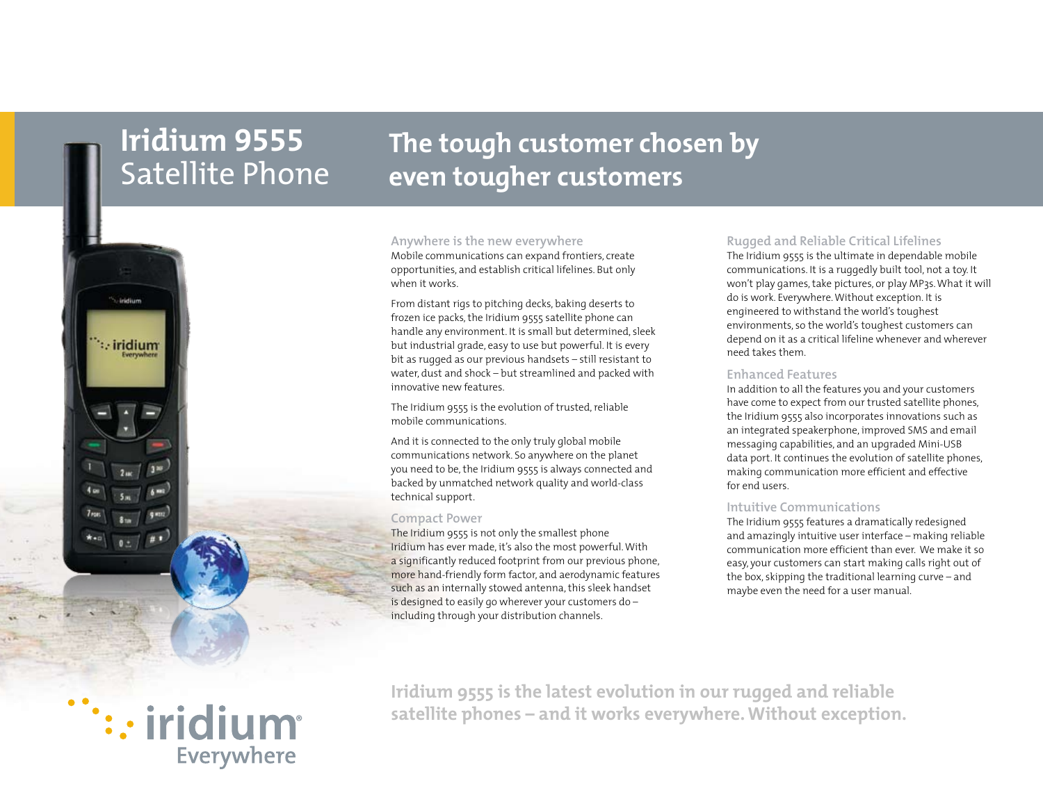# **Iridium 9555** Satellite Phone

# **The tough customer chosen by even tougher customers**



#### **Anywhere is the new everywhere**

Mobile communications can expand frontiers, create opportunities, and establish critical lifelines. But only when it works.

From distant rigs to pitching decks, baking deserts to frozen ice packs, the Iridium 9555 satellite phone can handle any environment. It is small but determined, sleek but industrial grade, easy to use but powerful. It is every bit as rugged as our previous handsets – still resistant to water, dust and shock – but streamlined and packed with innovative new features.

The Iridium 9555 is the evolution of trusted, reliable mobile communications.

And it is connected to the only truly global mobile communications network. So anywhere on the planet you need to be, the Iridium 9555 is always connected and backed by unmatched network quality and world-class technical support.

## **Compact Power**

The Iridium 9555 is not only the smallest phone Iridium has ever made, it's also the most powerful. With a significantly reduced footprint from our previous phone, more hand-friendly form factor, and aerodynamic features such as an internally stowed antenna, this sleek handset is designed to easily go wherever your customers do – including through your distribution channels.

# **Rugged and Reliable Critical Lifelines**

The Iridium 9555 is the ultimate in dependable mobile communications. It is a ruggedly built tool, not a toy. It won't play games, take pictures, or play MP3s. What it will do is work. Everywhere. Without exception. It is engineered to withstand the world's toughest environments, so the world's toughest customers can depend on it as a critical lifeline whenever and wherever need takes them.

# **Enhanced Features**

In addition to all the features you and your customers have come to expect from our trusted satellite phones, the Iridium 9555 also incorporates innovations such as an integrated speakerphone, improved SMS and email messaging capabilities, and an upgraded Mini-USB data port. It continues the evolution of satellite phones, making communication more efficient and effective for end users.

# **Intuitive Communications**

The Iridium 9555 features a dramatically redesigned and amazingly intuitive user interface – making reliable communication more efficient than ever. We make it so easy, your customers can start making calls right out of the box, skipping the traditional learning curve – and maybe even the need for a user manual.

# : iridium Everywhere

**Iridium 9555 is the latest evolution in our rugged and reliable satellite phones – and it works everywhere. Without exception.**